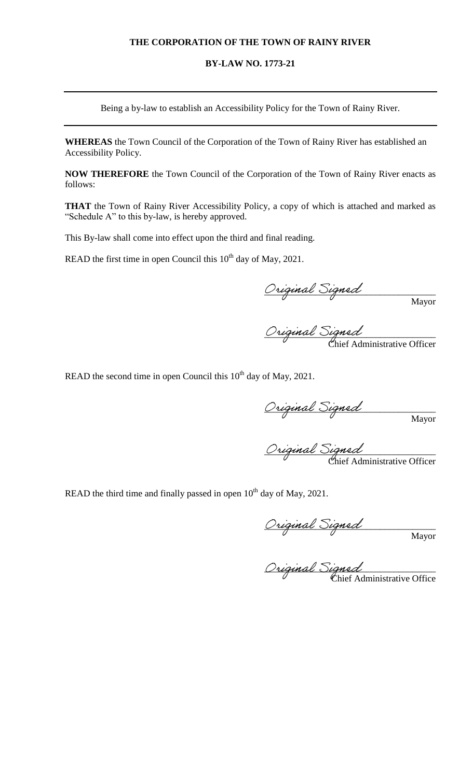### **THE CORPORATION OF THE TOWN OF RAINY RIVER**

### **BY-LAW NO. 1773-21**

Being a by-law to establish an Accessibility Policy for the Town of Rainy River.

**WHEREAS** the Town Council of the Corporation of the Town of Rainy River has established an Accessibility Policy.

**NOW THEREFORE** the Town Council of the Corporation of the Town of Rainy River enacts as follows:

**THAT** the Town of Rainy River Accessibility Policy, a copy of which is attached and marked as "Schedule A" to this by-law, is hereby approved.

This By-law shall come into effect upon the third and final reading.

READ the first time in open Council this  $10<sup>th</sup>$  day of May, 2021.

 $O$ riginal Signed **Example 2** Mayor

 $O$ riginal  $O$ igne $d$  $\mathcal{C}$ hief Administrative Officer

READ the second time in open Council this  $10<sup>th</sup>$  day of May, 2021.

Original Signed **Example 2** Mayor

 $O$ riginal  $O$ igned **Chief Administrative Officer** 

READ the third time and finally passed in open  $10^{th}$  day of May, 2021.

 $O$ riginal Signed **Example 2** Mayor

 $O$ riginal Signed  $\mathcal{C}$  Chief Administrative Office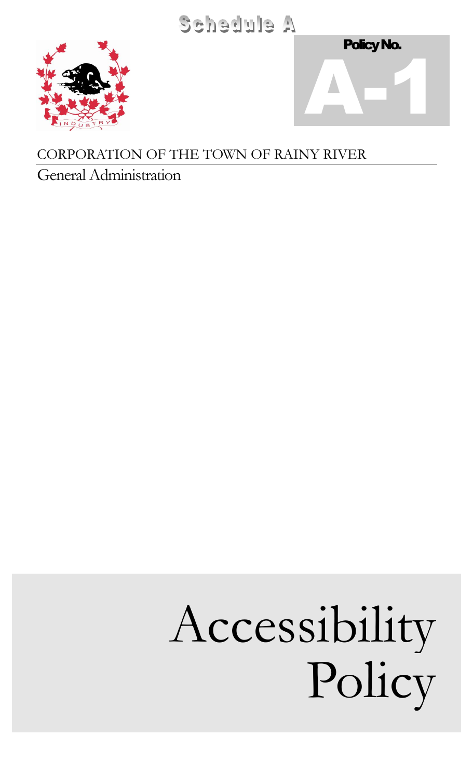Schedule A





# CORPORATION OF THE TOWN OF RAINY RIVER

General Administration

# Accessibility Policy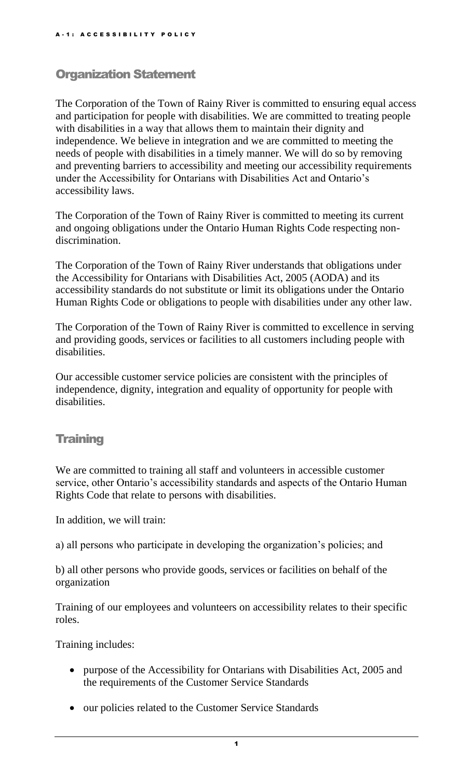## Organization Statement

The Corporation of the Town of Rainy River is committed to ensuring equal access and participation for people with disabilities. We are committed to treating people with disabilities in a way that allows them to maintain their dignity and independence. We believe in integration and we are committed to meeting the needs of people with disabilities in a timely manner. We will do so by removing and preventing barriers to accessibility and meeting our accessibility requirements under the Accessibility for Ontarians with Disabilities Act and Ontario's accessibility laws.

The Corporation of the Town of Rainy River is committed to meeting its current and ongoing obligations under the Ontario Human Rights Code respecting nondiscrimination.

The Corporation of the Town of Rainy River understands that obligations under the Accessibility for Ontarians with Disabilities Act, 2005 (AODA) and its accessibility standards do not substitute or limit its obligations under the Ontario Human Rights Code or obligations to people with disabilities under any other law.

The Corporation of the Town of Rainy River is committed to excellence in serving and providing goods, services or facilities to all customers including people with disabilities.

Our accessible customer service policies are consistent with the principles of independence, dignity, integration and equality of opportunity for people with disabilities.

### **Training**

We are committed to training all staff and volunteers in accessible customer service, other Ontario's accessibility standards and aspects of the Ontario Human Rights Code that relate to persons with disabilities.

In addition, we will train:

a) all persons who participate in developing the organization's policies; and

b) all other persons who provide goods, services or facilities on behalf of the organization

Training of our employees and volunteers on accessibility relates to their specific roles.

Training includes:

- purpose of the Accessibility for Ontarians with Disabilities Act, 2005 and the requirements of the Customer Service Standards
- our policies related to the Customer Service Standards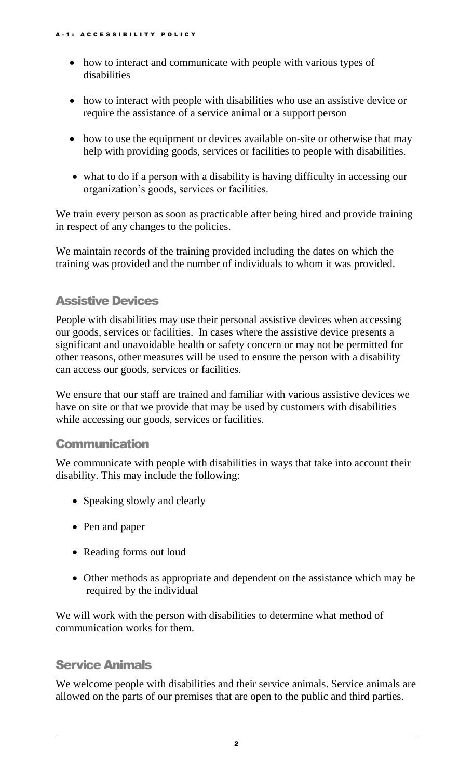- how to interact and communicate with people with various types of disabilities
- how to interact with people with disabilities who use an assistive device or require the assistance of a service animal or a support person
- how to use the equipment or devices available on-site or otherwise that may help with providing goods, services or facilities to people with disabilities.
- what to do if a person with a disability is having difficulty in accessing our organization's goods, services or facilities.

We train every person as soon as practicable after being hired and provide training in respect of any changes to the policies.

We maintain records of the training provided including the dates on which the training was provided and the number of individuals to whom it was provided.

# Assistive Devices

People with disabilities may use their personal assistive devices when accessing our goods, services or facilities. In cases where the assistive device presents a significant and unavoidable health or safety concern or may not be permitted for other reasons, other measures will be used to ensure the person with a disability can access our goods, services or facilities.

We ensure that our staff are trained and familiar with various assistive devices we have on site or that we provide that may be used by customers with disabilities while accessing our goods, services or facilities.

## Communication

We communicate with people with disabilities in ways that take into account their disability. This may include the following:

- Speaking slowly and clearly
- Pen and paper
- Reading forms out loud
- Other methods as appropriate and dependent on the assistance which may be required by the individual

We will work with the person with disabilities to determine what method of communication works for them.

## Service Animals

We welcome people with disabilities and their service animals. Service animals are allowed on the parts of our premises that are open to the public and third parties.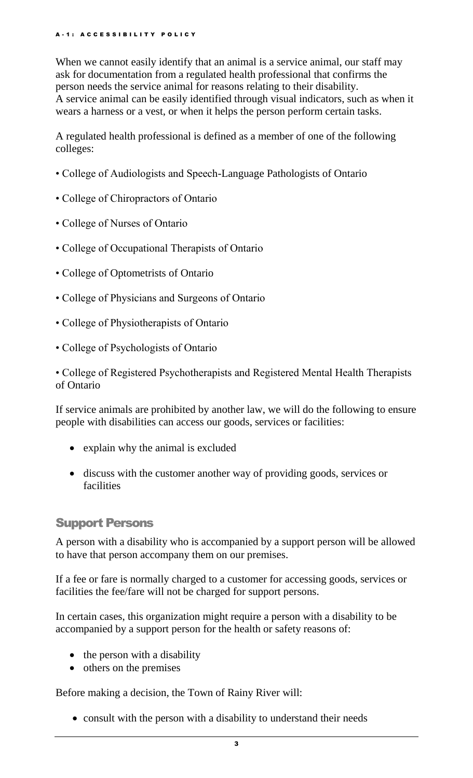### A - 1 : A C C E S S I B I L I T Y P O L I C Y

When we cannot easily identify that an animal is a service animal, our staff may ask for documentation from a regulated health professional that confirms the person needs the service animal for reasons relating to their disability. A service animal can be easily identified through visual indicators, such as when it wears a harness or a vest, or when it helps the person perform certain tasks.

A regulated health professional is defined as a member of one of the following colleges:

- College of Audiologists and Speech-Language Pathologists of Ontario
- College of Chiropractors of Ontario
- College of Nurses of Ontario
- College of Occupational Therapists of Ontario
- College of Optometrists of Ontario
- College of Physicians and Surgeons of Ontario
- College of Physiotherapists of Ontario
- College of Psychologists of Ontario

• College of Registered Psychotherapists and Registered Mental Health Therapists of Ontario

If service animals are prohibited by another law, we will do the following to ensure people with disabilities can access our goods, services or facilities:

- explain why the animal is excluded
- discuss with the customer another way of providing goods, services or facilities

## Support Persons

A person with a disability who is accompanied by a support person will be allowed to have that person accompany them on our premises.

If a fee or fare is normally charged to a customer for accessing goods, services or facilities the fee/fare will not be charged for support persons.

In certain cases, this organization might require a person with a disability to be accompanied by a support person for the health or safety reasons of:

- the person with a disability
- others on the premises

Before making a decision, the Town of Rainy River will:

• consult with the person with a disability to understand their needs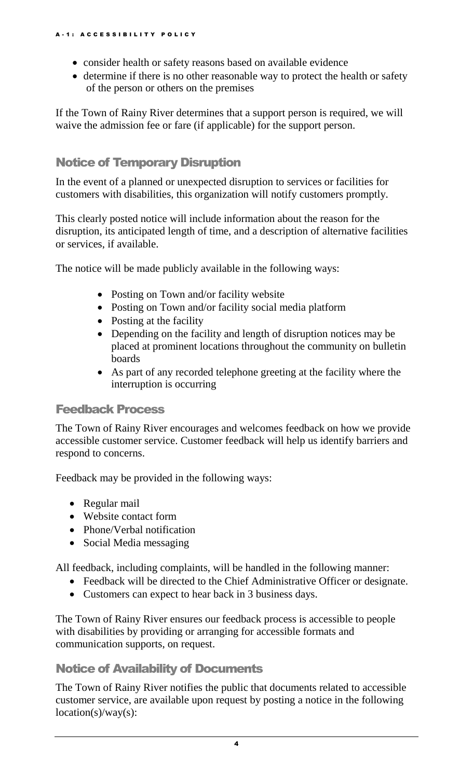- consider health or safety reasons based on available evidence
- determine if there is no other reasonable way to protect the health or safety of the person or others on the premises

If the Town of Rainy River determines that a support person is required, we will waive the admission fee or fare (if applicable) for the support person.

# Notice of Temporary Disruption

In the event of a planned or unexpected disruption to services or facilities for customers with disabilities, this organization will notify customers promptly.

This clearly posted notice will include information about the reason for the disruption, its anticipated length of time, and a description of alternative facilities or services, if available.

The notice will be made publicly available in the following ways:

- Posting on Town and/or facility website
- Posting on Town and/or facility social media platform
- Posting at the facility
- Depending on the facility and length of disruption notices may be placed at prominent locations throughout the community on bulletin boards
- As part of any recorded telephone greeting at the facility where the interruption is occurring

### Feedback Process

The Town of Rainy River encourages and welcomes feedback on how we provide accessible customer service. Customer feedback will help us identify barriers and respond to concerns.

Feedback may be provided in the following ways:

- Regular mail
- Website contact form
- Phone/Verbal notification
- Social Media messaging

All feedback, including complaints, will be handled in the following manner:

- Feedback will be directed to the Chief Administrative Officer or designate.
- Customers can expect to hear back in 3 business days.

The Town of Rainy River ensures our feedback process is accessible to people with disabilities by providing or arranging for accessible formats and communication supports, on request.

## Notice of Availability of Documents

The Town of Rainy River notifies the public that documents related to accessible customer service, are available upon request by posting a notice in the following  $location(s)/way(s)$ :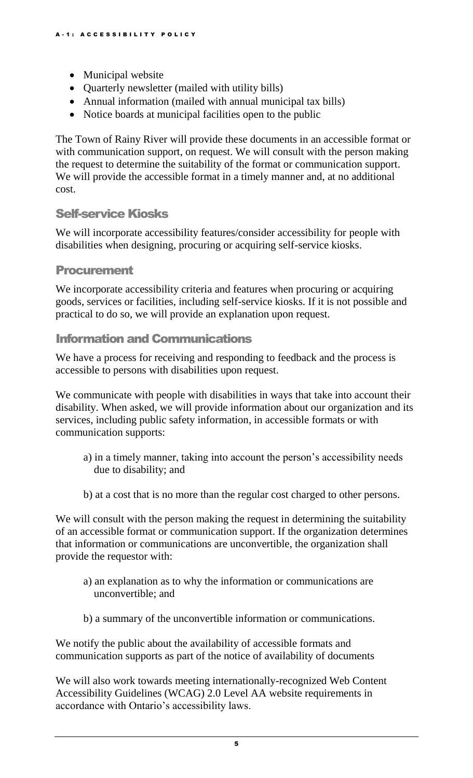- Municipal website
- Quarterly newsletter (mailed with utility bills)
- Annual information (mailed with annual municipal tax bills)
- Notice boards at municipal facilities open to the public

The Town of Rainy River will provide these documents in an accessible format or with communication support, on request. We will consult with the person making the request to determine the suitability of the format or communication support. We will provide the accessible format in a timely manner and, at no additional cost.

## Self-service Kiosks

We will incorporate accessibility features/consider accessibility for people with disabilities when designing, procuring or acquiring self-service kiosks.

### Procurement

We incorporate accessibility criteria and features when procuring or acquiring goods, services or facilities, including self-service kiosks. If it is not possible and practical to do so, we will provide an explanation upon request.

### Information and Communications

We have a process for receiving and responding to feedback and the process is accessible to persons with disabilities upon request.

We communicate with people with disabilities in ways that take into account their disability. When asked, we will provide information about our organization and its services, including public safety information, in accessible formats or with communication supports:

- a) in a timely manner, taking into account the person's accessibility needs due to disability; and
- b) at a cost that is no more than the regular cost charged to other persons.

We will consult with the person making the request in determining the suitability of an accessible format or communication support. If the organization determines that information or communications are unconvertible, the organization shall provide the requestor with:

- a) an explanation as to why the information or communications are unconvertible; and
- b) a summary of the unconvertible information or communications.

We notify the public about the availability of accessible formats and communication supports as part of the notice of availability of documents

We will also work towards meeting internationally-recognized Web Content Accessibility Guidelines (WCAG) 2.0 Level AA website requirements in accordance with Ontario's accessibility laws.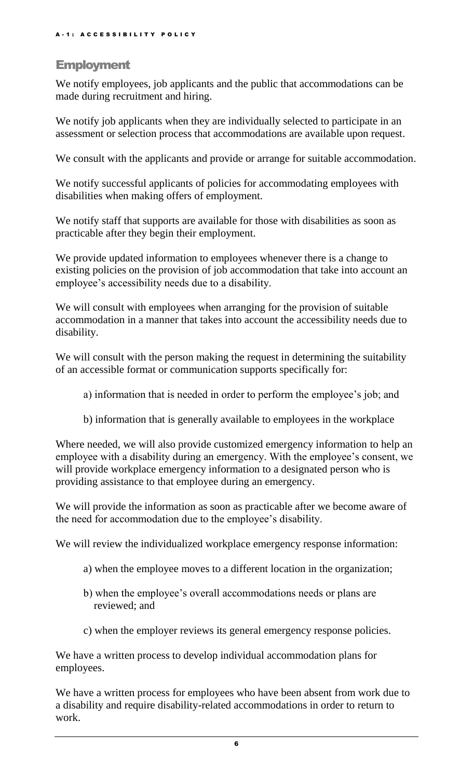### **Employment**

We notify employees, job applicants and the public that accommodations can be made during recruitment and hiring.

We notify job applicants when they are individually selected to participate in an assessment or selection process that accommodations are available upon request.

We consult with the applicants and provide or arrange for suitable accommodation.

We notify successful applicants of policies for accommodating employees with disabilities when making offers of employment.

We notify staff that supports are available for those with disabilities as soon as practicable after they begin their employment.

We provide updated information to employees whenever there is a change to existing policies on the provision of job accommodation that take into account an employee's accessibility needs due to a disability.

We will consult with employees when arranging for the provision of suitable accommodation in a manner that takes into account the accessibility needs due to disability.

We will consult with the person making the request in determining the suitability of an accessible format or communication supports specifically for:

- a) information that is needed in order to perform the employee's job; and
- b) information that is generally available to employees in the workplace

Where needed, we will also provide customized emergency information to help an employee with a disability during an emergency. With the employee's consent, we will provide workplace emergency information to a designated person who is providing assistance to that employee during an emergency.

We will provide the information as soon as practicable after we become aware of the need for accommodation due to the employee's disability.

We will review the individualized workplace emergency response information:

- a) when the employee moves to a different location in the organization;
- b) when the employee's overall accommodations needs or plans are reviewed; and
- c) when the employer reviews its general emergency response policies.

We have a written process to develop individual accommodation plans for employees.

We have a written process for employees who have been absent from work due to a disability and require disability-related accommodations in order to return to work.